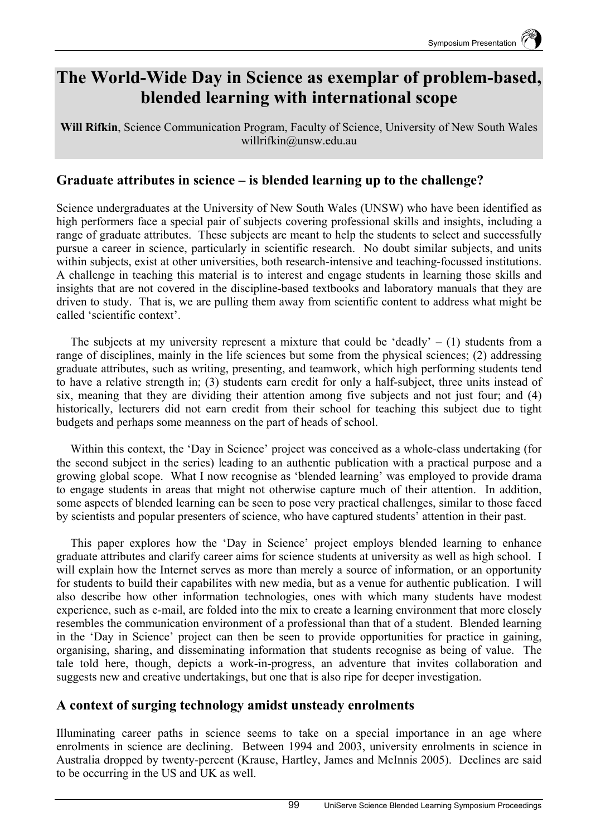# **The World-Wide Day in Science as exemplar of problem-based, blended learning with international scope**

**Will Rifkin**, Science Communication Program, Faculty of Science, University of New South Wales willrifkin@unsw.edu.au

# **Graduate attributes in science – is blended learning up to the challenge?**

Science undergraduates at the University of New South Wales (UNSW) who have been identified as high performers face a special pair of subjects covering professional skills and insights, including a range of graduate attributes. These subjects are meant to help the students to select and successfully pursue a career in science, particularly in scientific research. No doubt similar subjects, and units within subjects, exist at other universities, both research-intensive and teaching-focussed institutions. A challenge in teaching this material is to interest and engage students in learning those skills and insights that are not covered in the discipline-based textbooks and laboratory manuals that they are driven to study. That is, we are pulling them away from scientific content to address what might be called 'scientific context'.

The subjects at my university represent a mixture that could be 'deadly'  $- (1)$  students from a range of disciplines, mainly in the life sciences but some from the physical sciences; (2) addressing graduate attributes, such as writing, presenting, and teamwork, which high performing students tend to have a relative strength in; (3) students earn credit for only a half-subject, three units instead of six, meaning that they are dividing their attention among five subjects and not just four; and (4) historically, lecturers did not earn credit from their school for teaching this subject due to tight budgets and perhaps some meanness on the part of heads of school.

Within this context, the 'Day in Science' project was conceived as a whole-class undertaking (for the second subject in the series) leading to an authentic publication with a practical purpose and a growing global scope. What I now recognise as 'blended learning' was employed to provide drama to engage students in areas that might not otherwise capture much of their attention. In addition, some aspects of blended learning can be seen to pose very practical challenges, similar to those faced by scientists and popular presenters of science, who have captured students' attention in their past.

This paper explores how the 'Day in Science' project employs blended learning to enhance graduate attributes and clarify career aims for science students at university as well as high school. I will explain how the Internet serves as more than merely a source of information, or an opportunity for students to build their capabilites with new media, but as a venue for authentic publication. I will also describe how other information technologies, ones with which many students have modest experience, such as e-mail, are folded into the mix to create a learning environment that more closely resembles the communication environment of a professional than that of a student. Blended learning in the 'Day in Science' project can then be seen to provide opportunities for practice in gaining, organising, sharing, and disseminating information that students recognise as being of value. The tale told here, though, depicts a work-in-progress, an adventure that invites collaboration and suggests new and creative undertakings, but one that is also ripe for deeper investigation.

# **A context of surging technology amidst unsteady enrolments**

Illuminating career paths in science seems to take on a special importance in an age where enrolments in science are declining. Between 1994 and 2003, university enrolments in science in Australia dropped by twenty-percent (Krause, Hartley, James and McInnis 2005). Declines are said to be occurring in the US and UK as well.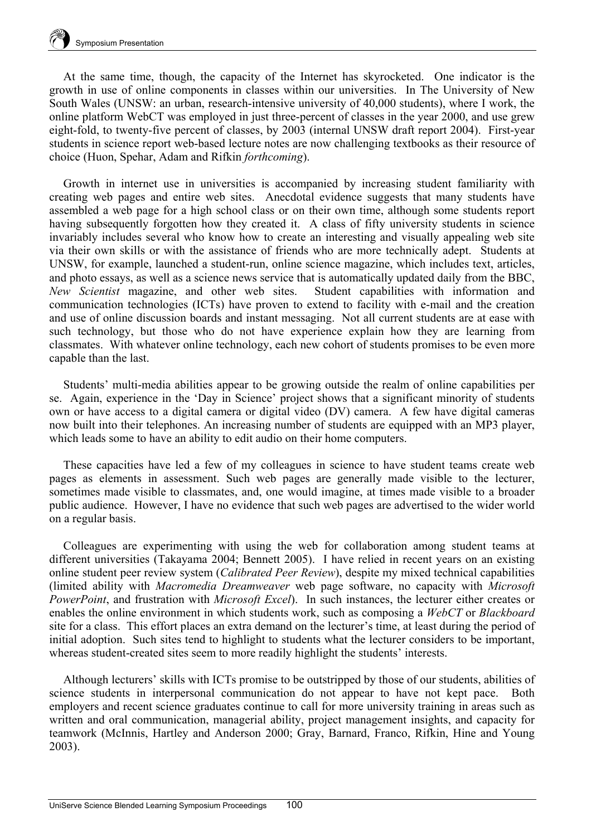At the same time, though, the capacity of the Internet has skyrocketed. One indicator is the growth in use of online components in classes within our universities. In The University of New South Wales (UNSW: an urban, research-intensive university of 40,000 students), where I work, the online platform WebCT was employed in just three-percent of classes in the year 2000, and use grew eight-fold, to twenty-five percent of classes, by 2003 (internal UNSW draft report 2004). First-year students in science report web-based lecture notes are now challenging textbooks as their resource of choice (Huon, Spehar, Adam and Rifkin *forthcoming*).

Growth in internet use in universities is accompanied by increasing student familiarity with creating web pages and entire web sites. Anecdotal evidence suggests that many students have assembled a web page for a high school class or on their own time, although some students report having subsequently forgotten how they created it. A class of fifty university students in science invariably includes several who know how to create an interesting and visually appealing web site via their own skills or with the assistance of friends who are more technically adept. Students at UNSW, for example, launched a student-run, online science magazine, which includes text, articles, and photo essays, as well as a science news service that is automatically updated daily from the BBC, *New Scientist* magazine, and other web sites. Student capabilities with information and communication technologies (ICTs) have proven to extend to facility with e-mail and the creation and use of online discussion boards and instant messaging. Not all current students are at ease with such technology, but those who do not have experience explain how they are learning from classmates. With whatever online technology, each new cohort of students promises to be even more capable than the last.

Students' multi-media abilities appear to be growing outside the realm of online capabilities per se. Again, experience in the 'Day in Science' project shows that a significant minority of students own or have access to a digital camera or digital video (DV) camera. A few have digital cameras now built into their telephones. An increasing number of students are equipped with an MP3 player, which leads some to have an ability to edit audio on their home computers.

These capacities have led a few of my colleagues in science to have student teams create web pages as elements in assessment. Such web pages are generally made visible to the lecturer, sometimes made visible to classmates, and, one would imagine, at times made visible to a broader public audience. However, I have no evidence that such web pages are advertised to the wider world on a regular basis.

Colleagues are experimenting with using the web for collaboration among student teams at different universities (Takayama 2004; Bennett 2005). I have relied in recent years on an existing online student peer review system (*Calibrated Peer Review*), despite my mixed technical capabilities (limited ability with *Macromedia Dreamweaver* web page software, no capacity with *Microsoft PowerPoint*, and frustration with *Microsoft Excel*). In such instances, the lecturer either creates or enables the online environment in which students work, such as composing a *WebCT* or *Blackboard* site for a class. This effort places an extra demand on the lecturer's time, at least during the period of initial adoption. Such sites tend to highlight to students what the lecturer considers to be important, whereas student-created sites seem to more readily highlight the students' interests.

Although lecturers' skills with ICTs promise to be outstripped by those of our students, abilities of science students in interpersonal communication do not appear to have not kept pace. Both employers and recent science graduates continue to call for more university training in areas such as written and oral communication, managerial ability, project management insights, and capacity for teamwork (McInnis, Hartley and Anderson 2000; Gray, Barnard, Franco, Rifkin, Hine and Young 2003).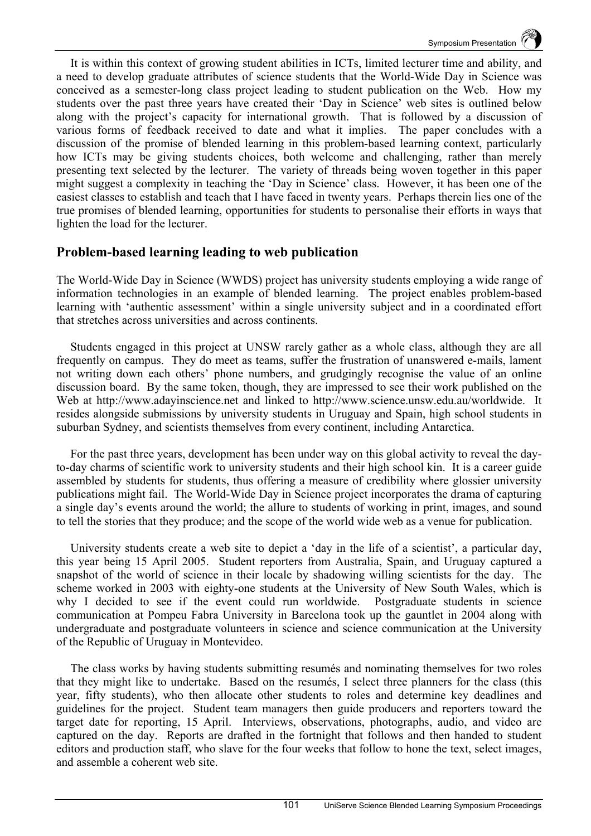It is within this context of growing student abilities in ICTs, limited lecturer time and ability, and a need to develop graduate attributes of science students that the World-Wide Day in Science was conceived as a semester-long class project leading to student publication on the Web. How my students over the past three years have created their 'Day in Science' web sites is outlined below along with the project's capacity for international growth. That is followed by a discussion of various forms of feedback received to date and what it implies. The paper concludes with a discussion of the promise of blended learning in this problem-based learning context, particularly how ICTs may be giving students choices, both welcome and challenging, rather than merely presenting text selected by the lecturer. The variety of threads being woven together in this paper might suggest a complexity in teaching the 'Day in Science' class. However, it has been one of the easiest classes to establish and teach that I have faced in twenty years. Perhaps therein lies one of the true promises of blended learning, opportunities for students to personalise their efforts in ways that lighten the load for the lecturer.

# **Problem-based learning leading to web publication**

The World-Wide Day in Science (WWDS) project has university students employing a wide range of information technologies in an example of blended learning. The project enables problem-based learning with 'authentic assessment' within a single university subject and in a coordinated effort that stretches across universities and across continents.

Students engaged in this project at UNSW rarely gather as a whole class, although they are all frequently on campus. They do meet as teams, suffer the frustration of unanswered e-mails, lament not writing down each others' phone numbers, and grudgingly recognise the value of an online discussion board. By the same token, though, they are impressed to see their work published on the Web at http://www.adayinscience.net and linked to http://www.science.unsw.edu.au/worldwide. It resides alongside submissions by university students in Uruguay and Spain, high school students in suburban Sydney, and scientists themselves from every continent, including Antarctica.

For the past three years, development has been under way on this global activity to reveal the dayto-day charms of scientific work to university students and their high school kin. It is a career guide assembled by students for students, thus offering a measure of credibility where glossier university publications might fail. The World-Wide Day in Science project incorporates the drama of capturing a single day's events around the world; the allure to students of working in print, images, and sound to tell the stories that they produce; and the scope of the world wide web as a venue for publication.

University students create a web site to depict a 'day in the life of a scientist', a particular day, this year being 15 April 2005. Student reporters from Australia, Spain, and Uruguay captured a snapshot of the world of science in their locale by shadowing willing scientists for the day. The scheme worked in 2003 with eighty-one students at the University of New South Wales, which is why I decided to see if the event could run worldwide. Postgraduate students in science communication at Pompeu Fabra University in Barcelona took up the gauntlet in 2004 along with undergraduate and postgraduate volunteers in science and science communication at the University of the Republic of Uruguay in Montevideo.

The class works by having students submitting resumés and nominating themselves for two roles that they might like to undertake. Based on the resumés, I select three planners for the class (this year, fifty students), who then allocate other students to roles and determine key deadlines and guidelines for the project. Student team managers then guide producers and reporters toward the target date for reporting, 15 April. Interviews, observations, photographs, audio, and video are captured on the day. Reports are drafted in the fortnight that follows and then handed to student editors and production staff, who slave for the four weeks that follow to hone the text, select images, and assemble a coherent web site.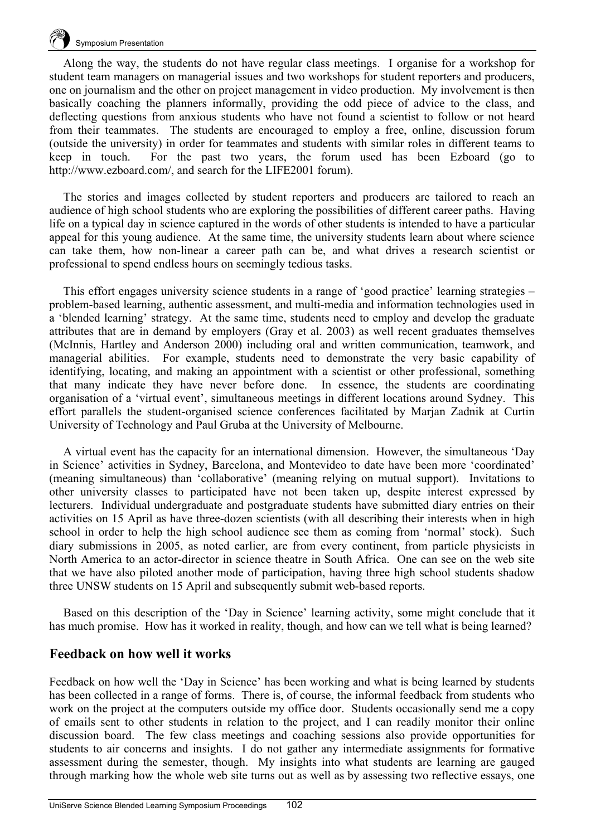

Along the way, the students do not have regular class meetings. I organise for a workshop for student team managers on managerial issues and two workshops for student reporters and producers, one on journalism and the other on project management in video production. My involvement is then basically coaching the planners informally, providing the odd piece of advice to the class, and deflecting questions from anxious students who have not found a scientist to follow or not heard from their teammates. The students are encouraged to employ a free, online, discussion forum (outside the university) in order for teammates and students with similar roles in different teams to keep in touch. For the past two years, the forum used has been Ezboard (go to http://www.ezboard.com/, and search for the LIFE2001 forum).

The stories and images collected by student reporters and producers are tailored to reach an audience of high school students who are exploring the possibilities of different career paths. Having life on a typical day in science captured in the words of other students is intended to have a particular appeal for this young audience. At the same time, the university students learn about where science can take them, how non-linear a career path can be, and what drives a research scientist or professional to spend endless hours on seemingly tedious tasks.

This effort engages university science students in a range of 'good practice' learning strategies – problem-based learning, authentic assessment, and multi-media and information technologies used in a 'blended learning' strategy. At the same time, students need to employ and develop the graduate attributes that are in demand by employers (Gray et al. 2003) as well recent graduates themselves (McInnis, Hartley and Anderson 2000) including oral and written communication, teamwork, and managerial abilities. For example, students need to demonstrate the very basic capability of identifying, locating, and making an appointment with a scientist or other professional, something that many indicate they have never before done. In essence, the students are coordinating organisation of a 'virtual event', simultaneous meetings in different locations around Sydney. This effort parallels the student-organised science conferences facilitated by Marjan Zadnik at Curtin University of Technology and Paul Gruba at the University of Melbourne.

A virtual event has the capacity for an international dimension. However, the simultaneous 'Day in Science' activities in Sydney, Barcelona, and Montevideo to date have been more 'coordinated' (meaning simultaneous) than 'collaborative' (meaning relying on mutual support). Invitations to other university classes to participated have not been taken up, despite interest expressed by lecturers. Individual undergraduate and postgraduate students have submitted diary entries on their activities on 15 April as have three-dozen scientists (with all describing their interests when in high school in order to help the high school audience see them as coming from 'normal' stock). Such diary submissions in 2005, as noted earlier, are from every continent, from particle physicists in North America to an actor-director in science theatre in South Africa. One can see on the web site that we have also piloted another mode of participation, having three high school students shadow three UNSW students on 15 April and subsequently submit web-based reports.

Based on this description of the 'Day in Science' learning activity, some might conclude that it has much promise. How has it worked in reality, though, and how can we tell what is being learned?

## **Feedback on how well it works**

Feedback on how well the 'Day in Science' has been working and what is being learned by students has been collected in a range of forms. There is, of course, the informal feedback from students who work on the project at the computers outside my office door. Students occasionally send me a copy of emails sent to other students in relation to the project, and I can readily monitor their online discussion board. The few class meetings and coaching sessions also provide opportunities for students to air concerns and insights. I do not gather any intermediate assignments for formative assessment during the semester, though. My insights into what students are learning are gauged through marking how the whole web site turns out as well as by assessing two reflective essays, one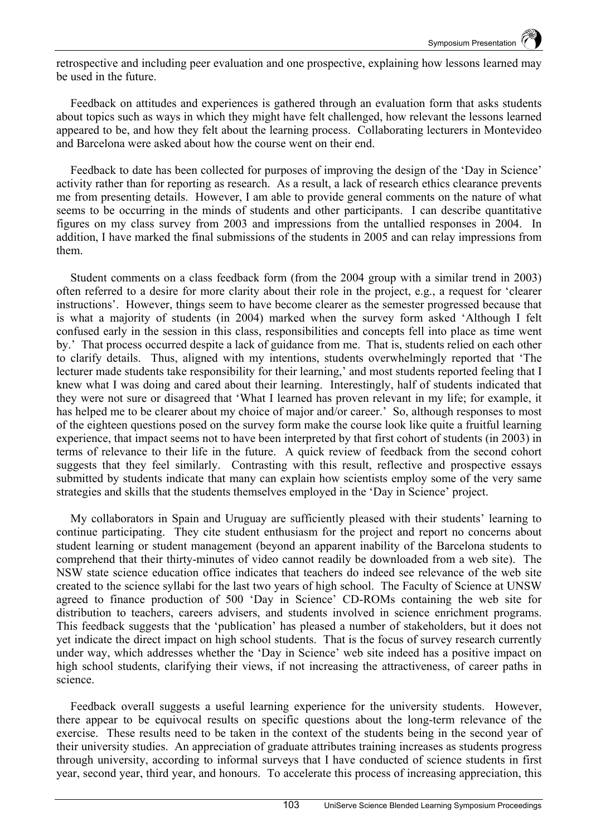retrospective and including peer evaluation and one prospective, explaining how lessons learned may be used in the future.

Feedback on attitudes and experiences is gathered through an evaluation form that asks students about topics such as ways in which they might have felt challenged, how relevant the lessons learned appeared to be, and how they felt about the learning process. Collaborating lecturers in Montevideo and Barcelona were asked about how the course went on their end.

Feedback to date has been collected for purposes of improving the design of the 'Day in Science' activity rather than for reporting as research. As a result, a lack of research ethics clearance prevents me from presenting details. However, I am able to provide general comments on the nature of what seems to be occurring in the minds of students and other participants. I can describe quantitative figures on my class survey from 2003 and impressions from the untallied responses in 2004. In addition, I have marked the final submissions of the students in 2005 and can relay impressions from them.

Student comments on a class feedback form (from the 2004 group with a similar trend in 2003) often referred to a desire for more clarity about their role in the project, e.g., a request for 'clearer instructions'. However, things seem to have become clearer as the semester progressed because that is what a majority of students (in 2004) marked when the survey form asked 'Although I felt confused early in the session in this class, responsibilities and concepts fell into place as time went by.' That process occurred despite a lack of guidance from me. That is, students relied on each other to clarify details. Thus, aligned with my intentions, students overwhelmingly reported that 'The lecturer made students take responsibility for their learning,' and most students reported feeling that I knew what I was doing and cared about their learning. Interestingly, half of students indicated that they were not sure or disagreed that 'What I learned has proven relevant in my life; for example, it has helped me to be clearer about my choice of major and/or career.' So, although responses to most of the eighteen questions posed on the survey form make the course look like quite a fruitful learning experience, that impact seems not to have been interpreted by that first cohort of students (in 2003) in terms of relevance to their life in the future. A quick review of feedback from the second cohort suggests that they feel similarly. Contrasting with this result, reflective and prospective essays submitted by students indicate that many can explain how scientists employ some of the very same strategies and skills that the students themselves employed in the 'Day in Science' project.

My collaborators in Spain and Uruguay are sufficiently pleased with their students' learning to continue participating. They cite student enthusiasm for the project and report no concerns about student learning or student management (beyond an apparent inability of the Barcelona students to comprehend that their thirty-minutes of video cannot readily be downloaded from a web site). The NSW state science education office indicates that teachers do indeed see relevance of the web site created to the science syllabi for the last two years of high school. The Faculty of Science at UNSW agreed to finance production of 500 'Day in Science' CD-ROMs containing the web site for distribution to teachers, careers advisers, and students involved in science enrichment programs. This feedback suggests that the 'publication' has pleased a number of stakeholders, but it does not yet indicate the direct impact on high school students. That is the focus of survey research currently under way, which addresses whether the 'Day in Science' web site indeed has a positive impact on high school students, clarifying their views, if not increasing the attractiveness, of career paths in science.

Feedback overall suggests a useful learning experience for the university students. However, there appear to be equivocal results on specific questions about the long-term relevance of the exercise. These results need to be taken in the context of the students being in the second year of their university studies. An appreciation of graduate attributes training increases as students progress through university, according to informal surveys that I have conducted of science students in first year, second year, third year, and honours. To accelerate this process of increasing appreciation, this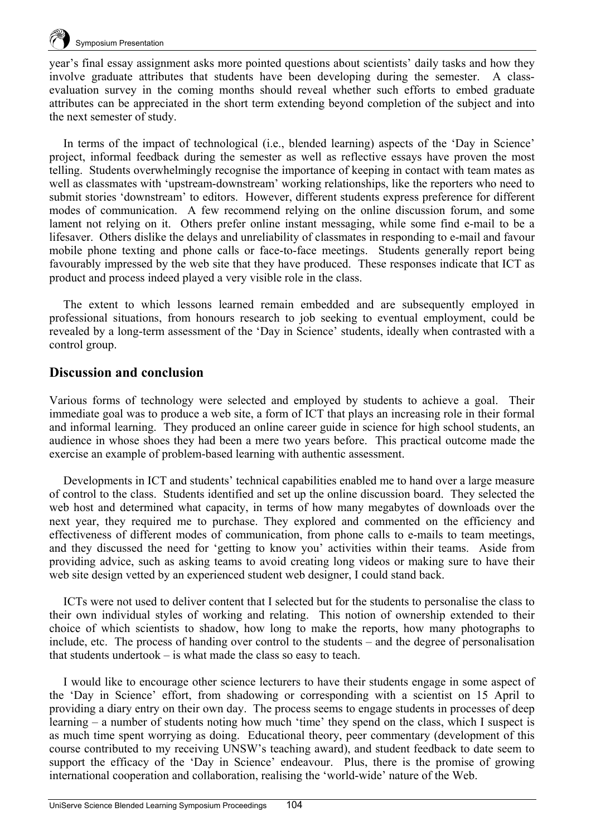

year's final essay assignment asks more pointed questions about scientists' daily tasks and how they involve graduate attributes that students have been developing during the semester. A classevaluation survey in the coming months should reveal whether such efforts to embed graduate attributes can be appreciated in the short term extending beyond completion of the subject and into the next semester of study.

In terms of the impact of technological (i.e., blended learning) aspects of the 'Day in Science' project, informal feedback during the semester as well as reflective essays have proven the most telling. Students overwhelmingly recognise the importance of keeping in contact with team mates as well as classmates with 'upstream-downstream' working relationships, like the reporters who need to submit stories 'downstream' to editors. However, different students express preference for different modes of communication. A few recommend relying on the online discussion forum, and some lament not relying on it. Others prefer online instant messaging, while some find e-mail to be a lifesaver. Others dislike the delays and unreliability of classmates in responding to e-mail and favour mobile phone texting and phone calls or face-to-face meetings. Students generally report being favourably impressed by the web site that they have produced. These responses indicate that ICT as product and process indeed played a very visible role in the class.

The extent to which lessons learned remain embedded and are subsequently employed in professional situations, from honours research to job seeking to eventual employment, could be revealed by a long-term assessment of the 'Day in Science' students, ideally when contrasted with a control group.

## **Discussion and conclusion**

Various forms of technology were selected and employed by students to achieve a goal. Their immediate goal was to produce a web site, a form of ICT that plays an increasing role in their formal and informal learning. They produced an online career guide in science for high school students, an audience in whose shoes they had been a mere two years before. This practical outcome made the exercise an example of problem-based learning with authentic assessment.

Developments in ICT and students' technical capabilities enabled me to hand over a large measure of control to the class. Students identified and set up the online discussion board. They selected the web host and determined what capacity, in terms of how many megabytes of downloads over the next year, they required me to purchase. They explored and commented on the efficiency and effectiveness of different modes of communication, from phone calls to e-mails to team meetings, and they discussed the need for 'getting to know you' activities within their teams. Aside from providing advice, such as asking teams to avoid creating long videos or making sure to have their web site design vetted by an experienced student web designer, I could stand back.

ICTs were not used to deliver content that I selected but for the students to personalise the class to their own individual styles of working and relating. This notion of ownership extended to their choice of which scientists to shadow, how long to make the reports, how many photographs to include, etc. The process of handing over control to the students – and the degree of personalisation that students undertook – is what made the class so easy to teach.

I would like to encourage other science lecturers to have their students engage in some aspect of the 'Day in Science' effort, from shadowing or corresponding with a scientist on 15 April to providing a diary entry on their own day. The process seems to engage students in processes of deep learning – a number of students noting how much 'time' they spend on the class, which I suspect is as much time spent worrying as doing. Educational theory, peer commentary (development of this course contributed to my receiving UNSW's teaching award), and student feedback to date seem to support the efficacy of the 'Day in Science' endeavour. Plus, there is the promise of growing international cooperation and collaboration, realising the 'world-wide' nature of the Web.